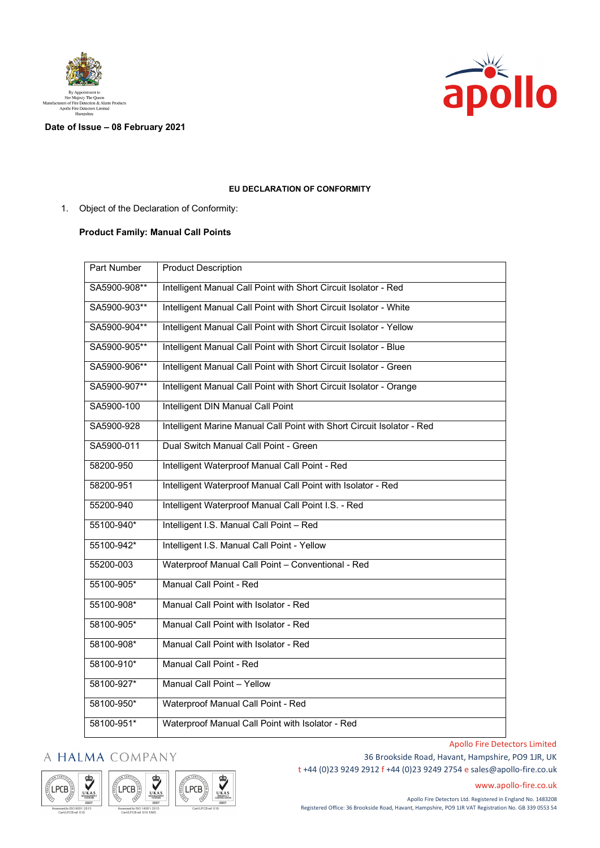



## **Date of Issue – 08 February 2021**

## **EU DECLARATION OF CONFORMITY**

1. Object of the Declaration of Conformity:

## **Product Family: Manual Call Points**

| <b>Part Number</b> | <b>Product Description</b>                                             |
|--------------------|------------------------------------------------------------------------|
| SA5900-908**       | Intelligent Manual Call Point with Short Circuit Isolator - Red        |
| SA5900-903**       | Intelligent Manual Call Point with Short Circuit Isolator - White      |
| SA5900-904**       | Intelligent Manual Call Point with Short Circuit Isolator - Yellow     |
| SA5900-905**       | Intelligent Manual Call Point with Short Circuit Isolator - Blue       |
| SA5900-906**       | Intelligent Manual Call Point with Short Circuit Isolator - Green      |
| SA5900-907**       | Intelligent Manual Call Point with Short Circuit Isolator - Orange     |
| SA5900-100         | Intelligent DIN Manual Call Point                                      |
| SA5900-928         | Intelligent Marine Manual Call Point with Short Circuit Isolator - Red |
| SA5900-011         | Dual Switch Manual Call Point - Green                                  |
| 58200-950          | Intelligent Waterproof Manual Call Point - Red                         |
| 58200-951          | Intelligent Waterproof Manual Call Point with Isolator - Red           |
| 55200-940          | Intelligent Waterproof Manual Call Point I.S. - Red                    |
| 55100-940*         | Intelligent I.S. Manual Call Point - Red                               |
| 55100-942*         | Intelligent I.S. Manual Call Point - Yellow                            |
| 55200-003          | Waterproof Manual Call Point - Conventional - Red                      |
| 55100-905*         | Manual Call Point - Red                                                |
| 55100-908*         | Manual Call Point with Isolator - Red                                  |
| 58100-905*         | Manual Call Point with Isolator - Red                                  |
| 58100-908*         | Manual Call Point with Isolator - Red                                  |
| 58100-910*         | Manual Call Point - Red                                                |
| 58100-927*         | Manual Call Point - Yellow                                             |
| 58100-950*         | Waterproof Manual Call Point - Red                                     |
| 58100-951*         | Waterproof Manual Call Point with Isolator - Red                       |

## A HALMA COMPANY





36 Brookside Road, Havant, Hampshire, PO9 1JR, UK t +44 (0)23 9249 2912 f +44 (0)23 9249 2754 [e sales@apollo-fire.co.uk](mailto:sales@apollo-fire.co.uk)

[www.apollo-fire.co.uk](http://www.apollo-fire.co.uk/)

Apollo Fire Detectors Limited

Apollo Fire Detectors Ltd. Registered in England No. 1483208 Registered Office: 36 Brookside Road, Havant, Hampshire, PO9 1JR VAT Registration No. GB 339 0553 54